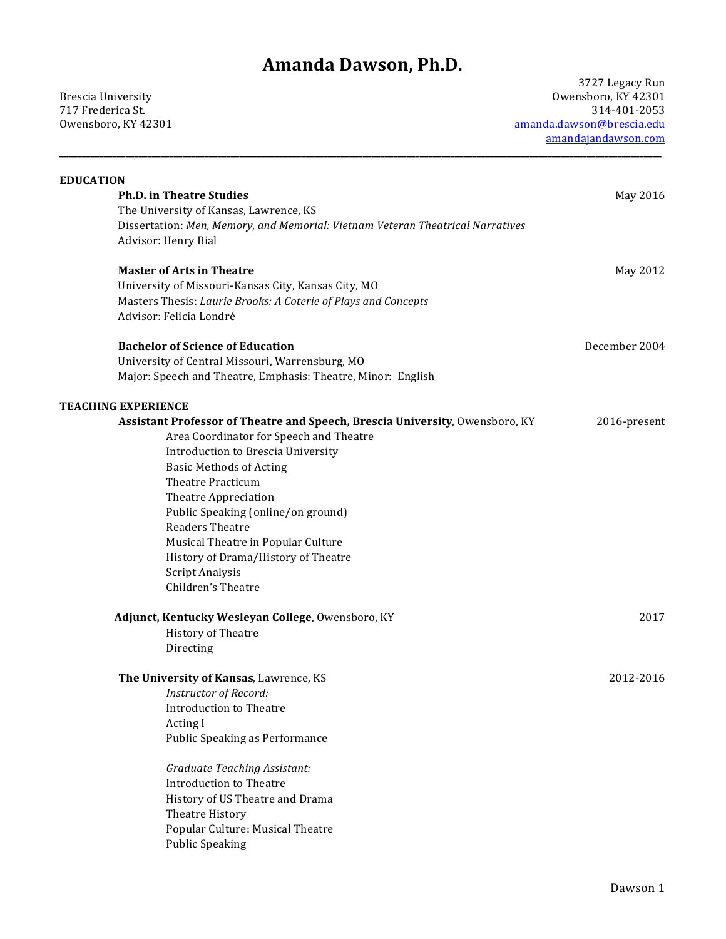## **Amanda Dawson, Ph.D.**

**\_\_\_\_\_\_\_\_\_\_\_\_\_\_\_\_\_\_\_\_\_\_\_\_\_\_\_\_\_\_\_\_\_\_\_\_\_\_\_\_\_\_\_\_\_\_\_\_\_\_\_\_\_\_\_\_\_\_\_\_\_\_\_\_\_\_\_\_\_\_\_\_\_\_\_\_\_\_\_\_\_\_\_\_\_\_\_\_\_\_\_\_\_\_\_\_\_\_\_\_\_\_\_\_\_\_\_\_\_\_\_\_\_\_\_\_\_\_\_\_\_\_\_\_\_\_\_\_\_\_\_\_\_\_\_\_\_**

717 Frederica St.

3727 Legacy Run Brescia University Owensboro, KY 42301 Owensboro, KY 42301 amanda.dawson@brescia.edu amandajandawson.com 

| <b>EDUCATION</b>                                                               |               |
|--------------------------------------------------------------------------------|---------------|
| <b>Ph.D. in Theatre Studies</b>                                                | May 2016      |
| The University of Kansas, Lawrence, KS                                         |               |
| Dissertation: Men, Memory, and Memorial: Vietnam Veteran Theatrical Narratives |               |
| Advisor: Henry Bial                                                            |               |
| <b>Master of Arts in Theatre</b>                                               | May 2012      |
| University of Missouri-Kansas City, Kansas City, MO                            |               |
| Masters Thesis: Laurie Brooks: A Coterie of Plays and Concepts                 |               |
| Advisor: Felicia Londré                                                        |               |
| <b>Bachelor of Science of Education</b>                                        | December 2004 |
| University of Central Missouri, Warrensburg, MO                                |               |
| Major: Speech and Theatre, Emphasis: Theatre, Minor: English                   |               |
| <b>TEACHING EXPERIENCE</b>                                                     |               |
| Assistant Professor of Theatre and Speech, Brescia University, Owensboro, KY   | 2016-present  |
| Area Coordinator for Speech and Theatre                                        |               |
| Introduction to Brescia University                                             |               |
| <b>Basic Methods of Acting</b>                                                 |               |
| <b>Theatre Practicum</b>                                                       |               |
| Theatre Appreciation                                                           |               |
| Public Speaking (online/on ground)                                             |               |
| <b>Readers Theatre</b>                                                         |               |
| Musical Theatre in Popular Culture                                             |               |
| History of Drama/History of Theatre                                            |               |
| Script Analysis                                                                |               |
| Children's Theatre                                                             |               |
| Adjunct, Kentucky Wesleyan College, Owensboro, KY                              | 2017          |
| <b>History of Theatre</b>                                                      |               |
| Directing                                                                      |               |
| The University of Kansas, Lawrence, KS                                         | 2012-2016     |
| Instructor of Record:                                                          |               |
| <b>Introduction to Theatre</b>                                                 |               |
| Acting I                                                                       |               |
| Public Speaking as Performance                                                 |               |
| <b>Graduate Teaching Assistant:</b>                                            |               |
| <b>Introduction to Theatre</b>                                                 |               |
| History of US Theatre and Drama                                                |               |
| Theatre History                                                                |               |
| Popular Culture: Musical Theatre                                               |               |
| <b>Public Speaking</b>                                                         |               |
|                                                                                |               |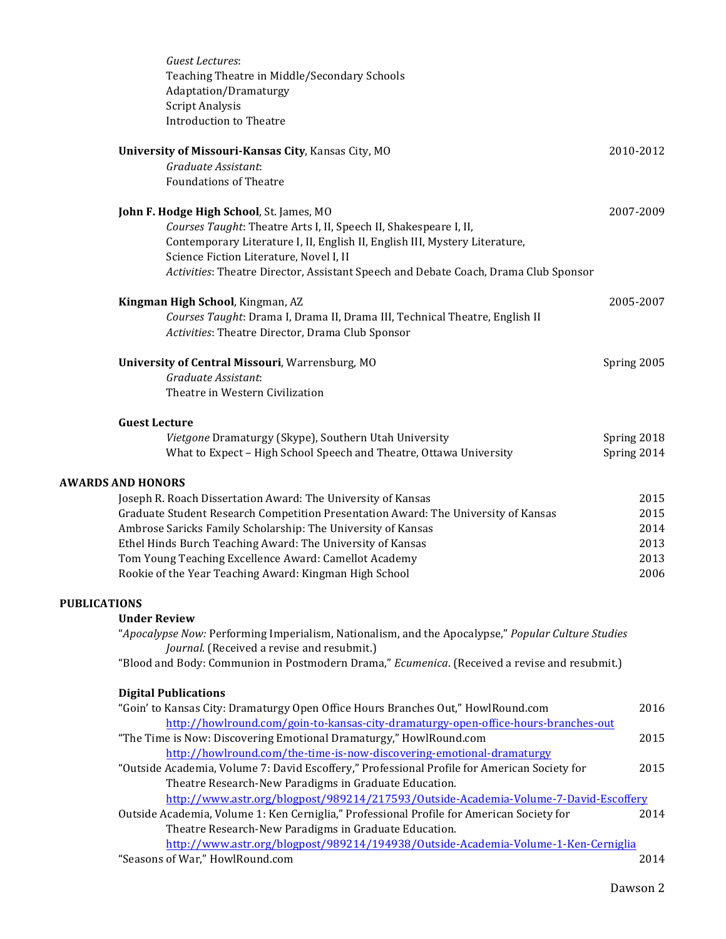| Guest Lectures:<br>Teaching Theatre in Middle/Secondary Schools<br>Adaptation/Dramaturgy<br>Script Analysis<br><b>Introduction to Theatre</b>    |             |
|--------------------------------------------------------------------------------------------------------------------------------------------------|-------------|
| University of Missouri-Kansas City, Kansas City, MO                                                                                              | 2010-2012   |
| Graduate Assistant:                                                                                                                              |             |
| <b>Foundations of Theatre</b>                                                                                                                    |             |
| John F. Hodge High School, St. James, MO                                                                                                         | 2007-2009   |
| Courses Taught: Theatre Arts I, II, Speech II, Shakespeare I, II,                                                                                |             |
| Contemporary Literature I, II, English II, English III, Mystery Literature,                                                                      |             |
| Science Fiction Literature, Novel I, II                                                                                                          |             |
| Activities: Theatre Director, Assistant Speech and Debate Coach, Drama Club Sponsor                                                              |             |
| Kingman High School, Kingman, AZ                                                                                                                 | 2005-2007   |
| Courses Taught: Drama I, Drama II, Drama III, Technical Theatre, English II                                                                      |             |
| Activities: Theatre Director, Drama Club Sponsor                                                                                                 |             |
| University of Central Missouri, Warrensburg, MO                                                                                                  | Spring 2005 |
| Graduate Assistant:                                                                                                                              |             |
| Theatre in Western Civilization                                                                                                                  |             |
| <b>Guest Lecture</b>                                                                                                                             |             |
| Vietgone Dramaturgy (Skype), Southern Utah University                                                                                            | Spring 2018 |
| What to Expect - High School Speech and Theatre, Ottawa University                                                                               | Spring 2014 |
| <b>AWARDS AND HONORS</b>                                                                                                                         |             |
| Joseph R. Roach Dissertation Award: The University of Kansas                                                                                     | 2015        |
| Graduate Student Research Competition Presentation Award: The University of Kansas                                                               | 2015        |
| Ambrose Saricks Family Scholarship: The University of Kansas                                                                                     | 2014        |
| Ethel Hinds Burch Teaching Award: The University of Kansas                                                                                       | 2013        |
| Tom Young Teaching Excellence Award: Camellot Academy                                                                                            | 2013        |
| Rookie of the Year Teaching Award: Kingman High School                                                                                           | 2006        |
| <b>PUBLICATIONS</b>                                                                                                                              |             |
| <b>Under Review</b>                                                                                                                              |             |
| "Apocalypse Now: Performing Imperialism, Nationalism, and the Apocalypse," Popular Culture Studies<br>Journal. (Received a revise and resubmit.) |             |
| "Blood and Body: Communion in Postmodern Drama," Ecumenica. (Received a revise and resubmit.)                                                    |             |
| <b>Digital Publications</b>                                                                                                                      |             |
| "Goin' to Kansas City: Dramaturgy Open Office Hours Branches Out," HowlRound.com                                                                 | 2016        |
| http://howlround.com/goin-to-kansas-city-dramaturgy-open-office-hours-branches-out                                                               |             |
| "The Time is Now: Discovering Emotional Dramaturgy," HowlRound.com                                                                               | 2015        |
| http://howlround.com/the-time-is-now-discovering-emotional-dramaturgy                                                                            |             |
| "Outside Academia, Volume 7: David Escoffery," Professional Profile for American Society for                                                     | 2015        |
| Theatre Research-New Paradigms in Graduate Education.                                                                                            |             |
| http://www.astr.org/blogpost/989214/217593/Outside-Academia-Volume-7-David-Escoffery                                                             |             |
| Outside Academia, Volume 1: Ken Cerniglia," Professional Profile for American Society for                                                        | 2014        |
| Theatre Research-New Paradigms in Graduate Education.                                                                                            |             |
| http://www.astr.org/blogpost/989214/194938/Outside-Academia-Volume-1-Ken-Cerniglia                                                               |             |
| "Seasons of War," HowlRound.com                                                                                                                  | 2014        |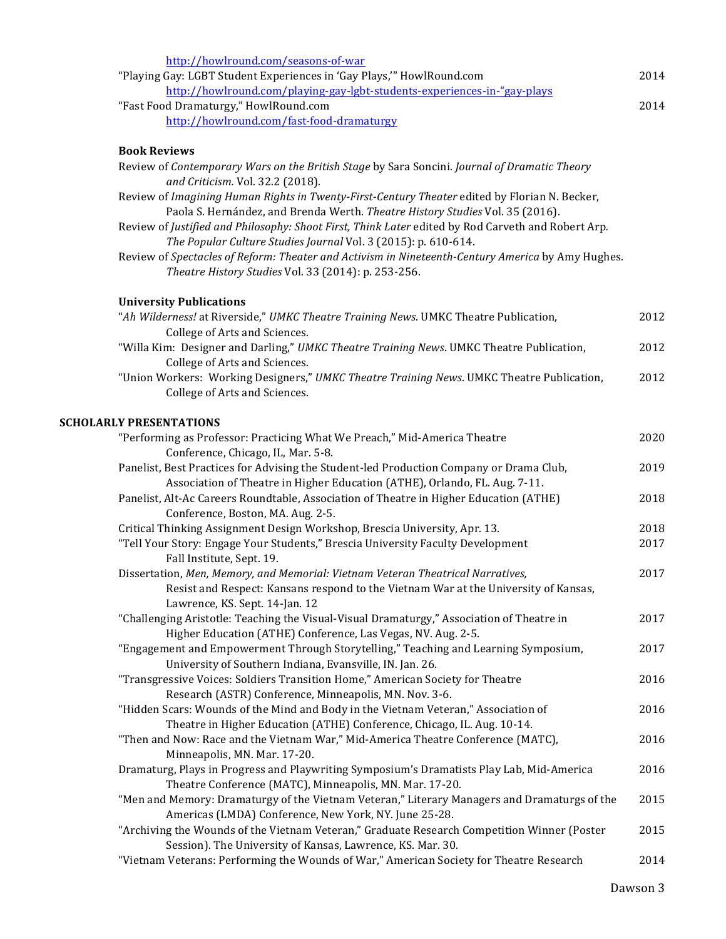| http://howlround.com/seasons-of-war                                                                                                                                            |      |
|--------------------------------------------------------------------------------------------------------------------------------------------------------------------------------|------|
| "Playing Gay: LGBT Student Experiences in 'Gay Plays," HowlRound.com                                                                                                           | 2014 |
| http://howlround.com/playing-gay-lgbt-students-experiences-in-"gay-plays                                                                                                       |      |
| "Fast Food Dramaturgy," HowlRound.com                                                                                                                                          | 2014 |
| http://howlround.com/fast-food-dramaturgy                                                                                                                                      |      |
| <b>Book Reviews</b>                                                                                                                                                            |      |
| Review of Contemporary Wars on the British Stage by Sara Soncini. Journal of Dramatic Theory                                                                                   |      |
| and Criticism. Vol. 32.2 (2018).                                                                                                                                               |      |
| Review of Imagining Human Rights in Twenty-First-Century Theater edited by Florian N. Becker,<br>Paola S. Hernández, and Brenda Werth. Theatre History Studies Vol. 35 (2016). |      |
| Review of Justified and Philosophy: Shoot First, Think Later edited by Rod Carveth and Robert Arp.<br>The Popular Culture Studies Journal Vol. 3 (2015): p. 610-614.           |      |
| Review of Spectacles of Reform: Theater and Activism in Nineteenth-Century America by Amy Hughes.                                                                              |      |
| Theatre History Studies Vol. 33 (2014): p. 253-256.                                                                                                                            |      |
| <b>University Publications</b>                                                                                                                                                 |      |
| "Ah Wilderness! at Riverside," UMKC Theatre Training News. UMKC Theatre Publication,                                                                                           | 2012 |
| College of Arts and Sciences.                                                                                                                                                  |      |
| "Willa Kim: Designer and Darling," UMKC Theatre Training News. UMKC Theatre Publication,                                                                                       | 2012 |
| College of Arts and Sciences.                                                                                                                                                  |      |
| "Union Workers: Working Designers," UMKC Theatre Training News. UMKC Theatre Publication,                                                                                      | 2012 |
| College of Arts and Sciences.                                                                                                                                                  |      |
| <b>SCHOLARLY PRESENTATIONS</b>                                                                                                                                                 |      |
| "Performing as Professor: Practicing What We Preach," Mid-America Theatre                                                                                                      | 2020 |
| Conference, Chicago, IL, Mar. 5-8.                                                                                                                                             |      |
| Panelist, Best Practices for Advising the Student-led Production Company or Drama Club,                                                                                        | 2019 |
| Association of Theatre in Higher Education (ATHE), Orlando, FL. Aug. 7-11.                                                                                                     |      |
| Panelist, Alt-Ac Careers Roundtable, Association of Theatre in Higher Education (ATHE)                                                                                         | 2018 |
| Conference, Boston, MA. Aug. 2-5.                                                                                                                                              |      |
| Critical Thinking Assignment Design Workshop, Brescia University, Apr. 13.                                                                                                     | 2018 |
| "Tell Your Story: Engage Your Students," Brescia University Faculty Development<br>Fall Institute, Sept. 19.                                                                   | 2017 |
| Dissertation, Men, Memory, and Memorial: Vietnam Veteran Theatrical Narratives,                                                                                                | 2017 |
| Resist and Respect: Kansans respond to the Vietnam War at the University of Kansas,<br>Lawrence, KS. Sept. 14-Jan. 12                                                          |      |
| "Challenging Aristotle: Teaching the Visual-Visual Dramaturgy," Association of Theatre in                                                                                      | 2017 |
| Higher Education (ATHE) Conference, Las Vegas, NV. Aug. 2-5.                                                                                                                   |      |
| "Engagement and Empowerment Through Storytelling," Teaching and Learning Symposium,                                                                                            | 2017 |
| University of Southern Indiana, Evansville, IN. Jan. 26.<br>"Transgressive Voices: Soldiers Transition Home," American Society for Theatre                                     | 2016 |
| Research (ASTR) Conference, Minneapolis, MN. Nov. 3-6.                                                                                                                         |      |
| "Hidden Scars: Wounds of the Mind and Body in the Vietnam Veteran," Association of                                                                                             | 2016 |
| Theatre in Higher Education (ATHE) Conference, Chicago, IL. Aug. 10-14.                                                                                                        |      |
| "Then and Now: Race and the Vietnam War," Mid-America Theatre Conference (MATC),                                                                                               | 2016 |
| Minneapolis, MN. Mar. 17-20.                                                                                                                                                   |      |
| Dramaturg, Plays in Progress and Playwriting Symposium's Dramatists Play Lab, Mid-America                                                                                      | 2016 |
| Theatre Conference (MATC), Minneapolis, MN. Mar. 17-20.                                                                                                                        |      |
| "Men and Memory: Dramaturgy of the Vietnam Veteran," Literary Managers and Dramaturgs of the<br>Americas (LMDA) Conference, New York, NY. June 25-28.                          | 2015 |
| "Archiving the Wounds of the Vietnam Veteran," Graduate Research Competition Winner (Poster                                                                                    | 2015 |
| Session). The University of Kansas, Lawrence, KS. Mar. 30.                                                                                                                     |      |
| "Vietnam Veterans: Performing the Wounds of War," American Society for Theatre Research                                                                                        | 2014 |
|                                                                                                                                                                                |      |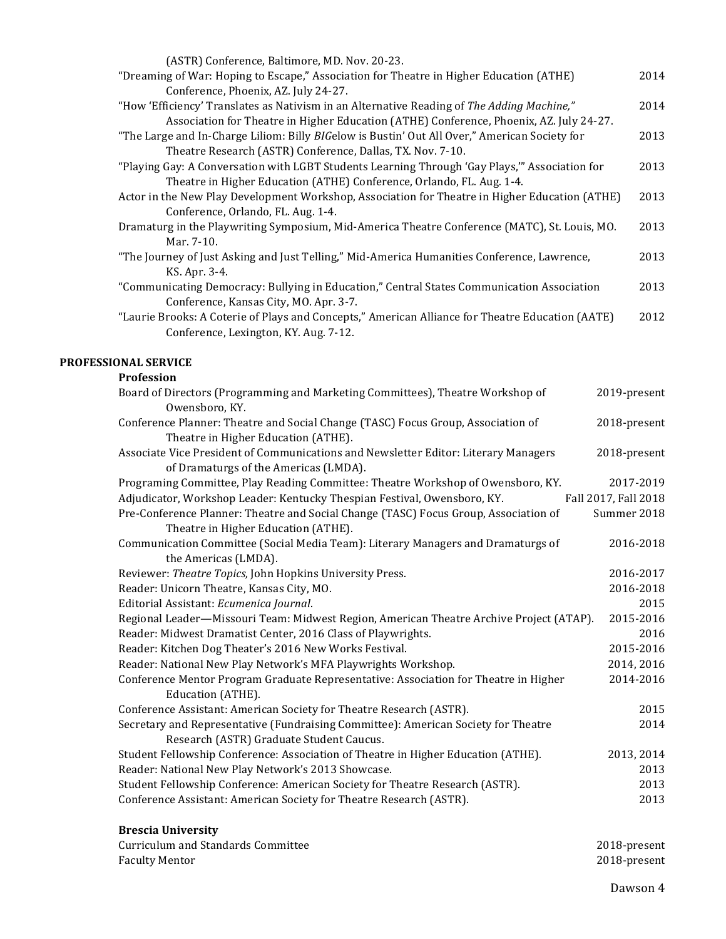| (ASTR) Conference, Baltimore, MD. Nov. 20-23.                                                    |      |
|--------------------------------------------------------------------------------------------------|------|
| "Dreaming of War: Hoping to Escape," Association for Theatre in Higher Education (ATHE)          | 2014 |
| Conference, Phoenix, AZ. July 24-27.                                                             |      |
| "How 'Efficiency' Translates as Nativism in an Alternative Reading of The Adding Machine,"       | 2014 |
| Association for Theatre in Higher Education (ATHE) Conference, Phoenix, AZ. July 24-27.          |      |
| "The Large and In-Charge Liliom: Billy BIGelow is Bustin' Out All Over," American Society for    | 2013 |
| Theatre Research (ASTR) Conference, Dallas, TX. Nov. 7-10.                                       |      |
| "Playing Gay: A Conversation with LGBT Students Learning Through 'Gay Plays," Association for    | 2013 |
| Theatre in Higher Education (ATHE) Conference, Orlando, FL. Aug. 1-4.                            |      |
| Actor in the New Play Development Workshop, Association for Theatre in Higher Education (ATHE)   | 2013 |
| Conference, Orlando, FL. Aug. 1-4.                                                               |      |
| Dramaturg in the Playwriting Symposium, Mid-America Theatre Conference (MATC), St. Louis, MO.    | 2013 |
| Mar. 7-10.                                                                                       |      |
| "The Journey of Just Asking and Just Telling," Mid-America Humanities Conference, Lawrence,      | 2013 |
| KS. Apr. 3-4.                                                                                    |      |
| "Communicating Democracy: Bullying in Education," Central States Communication Association       | 2013 |
| Conference, Kansas City, MO. Apr. 3-7.                                                           |      |
| "Laurie Brooks: A Coterie of Plays and Concepts," American Alliance for Theatre Education (AATE) | 2012 |
| Conference, Lexington, KY. Aug. 7-12.                                                            |      |
|                                                                                                  |      |
| <b>PROFESSIONAL SERVICE</b>                                                                      |      |

## **Profession**

| Board of Directors (Programming and Marketing Committees), Theatre Workshop of<br>Owensboro, KY.                             | 2019-present         |
|------------------------------------------------------------------------------------------------------------------------------|----------------------|
| Conference Planner: Theatre and Social Change (TASC) Focus Group, Association of<br>Theatre in Higher Education (ATHE).      | 2018-present         |
| Associate Vice President of Communications and Newsletter Editor: Literary Managers<br>of Dramaturgs of the Americas (LMDA). | 2018-present         |
| Programing Committee, Play Reading Committee: Theatre Workshop of Owensboro, KY.                                             | 2017-2019            |
| Adjudicator, Workshop Leader: Kentucky Thespian Festival, Owensboro, KY.                                                     | Fall 2017, Fall 2018 |
| Pre-Conference Planner: Theatre and Social Change (TASC) Focus Group, Association of                                         | Summer 2018          |
| Theatre in Higher Education (ATHE).                                                                                          |                      |
| Communication Committee (Social Media Team): Literary Managers and Dramaturgs of                                             | 2016-2018            |
| the Americas (LMDA).                                                                                                         |                      |
| Reviewer: Theatre Topics, John Hopkins University Press.                                                                     | 2016-2017            |
| Reader: Unicorn Theatre, Kansas City, MO.                                                                                    | 2016-2018            |
| Editorial Assistant: Ecumenica Journal.                                                                                      | 2015                 |
| Regional Leader—Missouri Team: Midwest Region, American Theatre Archive Project (ATAP).                                      | 2015-2016            |
| Reader: Midwest Dramatist Center, 2016 Class of Playwrights.                                                                 | 2016                 |
| Reader: Kitchen Dog Theater's 2016 New Works Festival.                                                                       | 2015-2016            |
| Reader: National New Play Network's MFA Playwrights Workshop.                                                                | 2014, 2016           |
| Conference Mentor Program Graduate Representative: Association for Theatre in Higher                                         | 2014-2016            |
| Education (ATHE).                                                                                                            |                      |
| Conference Assistant: American Society for Theatre Research (ASTR).                                                          | 2015                 |
| Secretary and Representative (Fundraising Committee): American Society for Theatre                                           | 2014                 |
| Research (ASTR) Graduate Student Caucus.                                                                                     |                      |
| Student Fellowship Conference: Association of Theatre in Higher Education (ATHE).                                            | 2013, 2014           |
| Reader: National New Play Network's 2013 Showcase.                                                                           | 2013                 |
| Student Fellowship Conference: American Society for Theatre Research (ASTR).                                                 | 2013                 |
| Conference Assistant: American Society for Theatre Research (ASTR).                                                          | 2013                 |

## **Brescia University**

| Curriculum and Standards Committee | 2018-present |
|------------------------------------|--------------|
| <b>Faculty Mentor</b>              | 2018-present |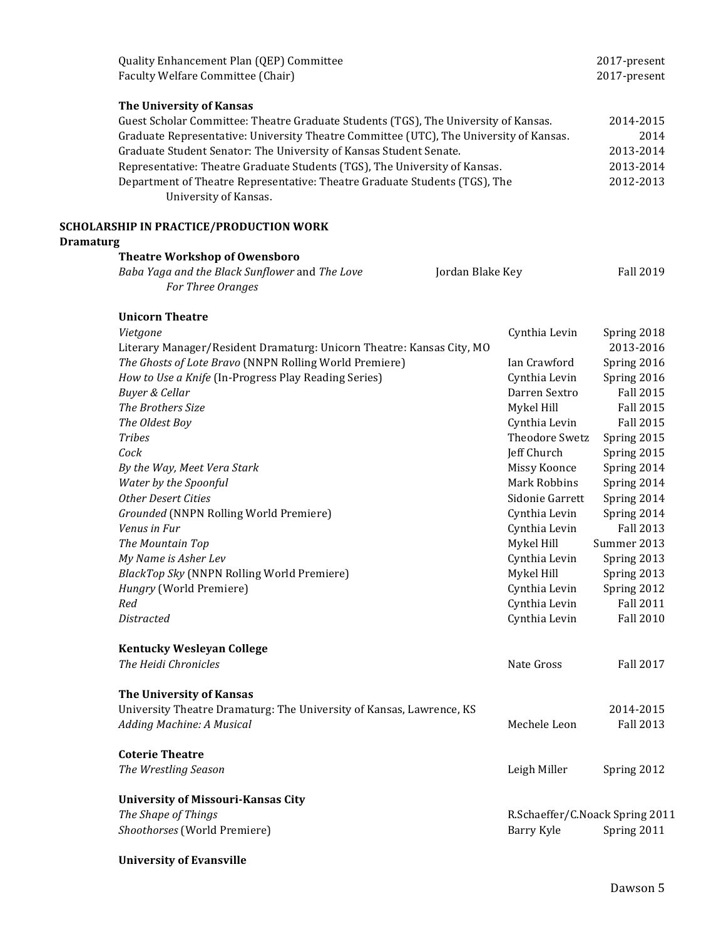|                  | Quality Enhancement Plan (QEP) Committee                                               |                  |                                 | 2017-present     |
|------------------|----------------------------------------------------------------------------------------|------------------|---------------------------------|------------------|
|                  | Faculty Welfare Committee (Chair)                                                      |                  |                                 | 2017-present     |
|                  | The University of Kansas                                                               |                  |                                 |                  |
|                  | Guest Scholar Committee: Theatre Graduate Students (TGS), The University of Kansas.    |                  |                                 | 2014-2015        |
|                  | Graduate Representative: University Theatre Committee (UTC), The University of Kansas. |                  |                                 | 2014             |
|                  | Graduate Student Senator: The University of Kansas Student Senate.                     |                  |                                 | 2013-2014        |
|                  | Representative: Theatre Graduate Students (TGS), The University of Kansas.             |                  |                                 | 2013-2014        |
|                  | Department of Theatre Representative: Theatre Graduate Students (TGS), The             |                  |                                 | 2012-2013        |
|                  | University of Kansas.                                                                  |                  |                                 |                  |
|                  |                                                                                        |                  |                                 |                  |
| <b>Dramaturg</b> | SCHOLARSHIP IN PRACTICE/PRODUCTION WORK                                                |                  |                                 |                  |
|                  | <b>Theatre Workshop of Owensboro</b>                                                   |                  |                                 |                  |
|                  | Baba Yaga and the Black Sunflower and The Love                                         | Jordan Blake Key |                                 | <b>Fall 2019</b> |
|                  | For Three Oranges                                                                      |                  |                                 |                  |
|                  | <b>Unicorn Theatre</b>                                                                 |                  |                                 |                  |
|                  | Vietgone                                                                               |                  | Cynthia Levin                   | Spring 2018      |
|                  | Literary Manager/Resident Dramaturg: Unicorn Theatre: Kansas City, MO                  |                  |                                 | 2013-2016        |
|                  | The Ghosts of Lote Bravo (NNPN Rolling World Premiere)                                 |                  | Ian Crawford                    | Spring 2016      |
|                  | How to Use a Knife (In-Progress Play Reading Series)                                   |                  | Cynthia Levin                   | Spring 2016      |
|                  | Buyer & Cellar                                                                         |                  | Darren Sextro                   | <b>Fall 2015</b> |
|                  | The Brothers Size                                                                      |                  | Mykel Hill                      | <b>Fall 2015</b> |
|                  | The Oldest Boy                                                                         |                  | Cynthia Levin                   | <b>Fall 2015</b> |
|                  | <b>Tribes</b>                                                                          |                  | Theodore Swetz                  | Spring 2015      |
|                  | Cock                                                                                   |                  | Jeff Church                     | Spring 2015      |
|                  | By the Way, Meet Vera Stark                                                            |                  | Missy Koonce                    | Spring 2014      |
|                  | Water by the Spoonful                                                                  |                  | Mark Robbins                    | Spring 2014      |
|                  | Other Desert Cities                                                                    |                  | Sidonie Garrett                 | Spring 2014      |
|                  | Grounded (NNPN Rolling World Premiere)                                                 |                  | Cynthia Levin                   | Spring 2014      |
|                  | Venus in Fur                                                                           |                  | Cynthia Levin                   | Fall 2013        |
|                  | The Mountain Top                                                                       |                  | Mykel Hill                      | Summer 2013      |
|                  | My Name is Asher Lev                                                                   |                  | Cynthia Levin                   | Spring 2013      |
|                  | BlackTop Sky (NNPN Rolling World Premiere)                                             |                  | Mykel Hill                      | Spring 2013      |
|                  | Hungry (World Premiere)                                                                |                  | Cynthia Levin                   | Spring 2012      |
|                  | Red                                                                                    |                  | Cynthia Levin                   | <b>Fall 2011</b> |
|                  | Distracted                                                                             |                  | Cynthia Levin                   | <b>Fall 2010</b> |
|                  | <b>Kentucky Wesleyan College</b>                                                       |                  |                                 |                  |
|                  | The Heidi Chronicles                                                                   |                  | Nate Gross                      | <b>Fall 2017</b> |
|                  | The University of Kansas                                                               |                  |                                 |                  |
|                  | University Theatre Dramaturg: The University of Kansas, Lawrence, KS                   |                  |                                 | 2014-2015        |
|                  | Adding Machine: A Musical                                                              |                  | Mechele Leon                    | <b>Fall 2013</b> |
|                  | <b>Coterie Theatre</b>                                                                 |                  |                                 |                  |
|                  | The Wrestling Season                                                                   |                  | Leigh Miller                    | Spring 2012      |
|                  |                                                                                        |                  |                                 |                  |
|                  | <b>University of Missouri-Kansas City</b>                                              |                  |                                 |                  |
|                  | The Shape of Things                                                                    |                  | R.Schaeffer/C.Noack Spring 2011 |                  |
|                  | Shoothorses (World Premiere)                                                           |                  | Barry Kyle                      | Spring 2011      |
|                  | <b>University of Evansville</b>                                                        |                  |                                 |                  |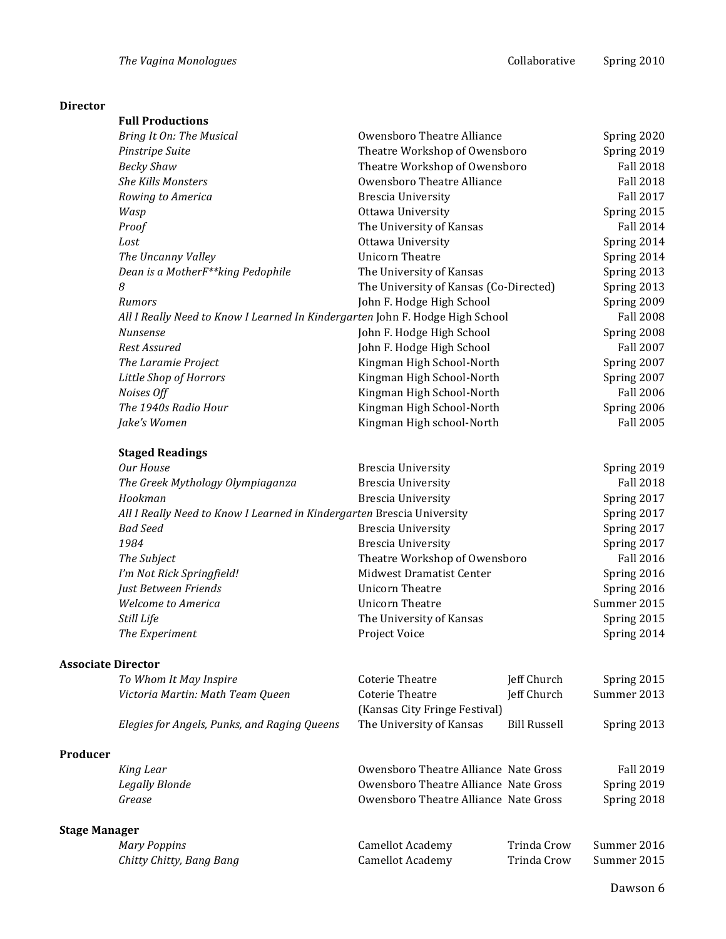## **Director**

| Spring 2020<br>Spring 2019<br><b>Fall 2018</b><br><b>Fall 2018</b><br><b>Fall 2017</b><br>Spring 2015<br><b>Fall 2014</b><br>Spring 2014<br>Spring 2014<br>Spring 2013<br>Spring 2013<br>Spring 2009<br><b>Fall 2008</b><br>Spring 2008<br><b>Fall 2007</b><br>Spring 2007 |             |
|----------------------------------------------------------------------------------------------------------------------------------------------------------------------------------------------------------------------------------------------------------------------------|-------------|
|                                                                                                                                                                                                                                                                            |             |
|                                                                                                                                                                                                                                                                            |             |
|                                                                                                                                                                                                                                                                            |             |
|                                                                                                                                                                                                                                                                            |             |
|                                                                                                                                                                                                                                                                            |             |
|                                                                                                                                                                                                                                                                            |             |
|                                                                                                                                                                                                                                                                            |             |
|                                                                                                                                                                                                                                                                            |             |
|                                                                                                                                                                                                                                                                            |             |
|                                                                                                                                                                                                                                                                            |             |
|                                                                                                                                                                                                                                                                            |             |
|                                                                                                                                                                                                                                                                            |             |
|                                                                                                                                                                                                                                                                            |             |
|                                                                                                                                                                                                                                                                            |             |
|                                                                                                                                                                                                                                                                            |             |
|                                                                                                                                                                                                                                                                            |             |
| Spring 2007                                                                                                                                                                                                                                                                |             |
| <b>Fall 2006</b>                                                                                                                                                                                                                                                           |             |
| Spring 2006                                                                                                                                                                                                                                                                |             |
| <b>Fall 2005</b>                                                                                                                                                                                                                                                           |             |
|                                                                                                                                                                                                                                                                            |             |
| Spring 2019                                                                                                                                                                                                                                                                |             |
| <b>Fall 2018</b>                                                                                                                                                                                                                                                           |             |
| Spring 2017                                                                                                                                                                                                                                                                |             |
| Spring 2017                                                                                                                                                                                                                                                                |             |
| Spring 2017<br>Spring 2017<br><b>Fall 2016</b>                                                                                                                                                                                                                             |             |
|                                                                                                                                                                                                                                                                            | Spring 2016 |
|                                                                                                                                                                                                                                                                            | Spring 2016 |
| Summer 2015                                                                                                                                                                                                                                                                |             |
| Spring 2015                                                                                                                                                                                                                                                                |             |
| Spring 2014                                                                                                                                                                                                                                                                |             |
|                                                                                                                                                                                                                                                                            |             |
| Spring 2015                                                                                                                                                                                                                                                                |             |
| Summer 2013                                                                                                                                                                                                                                                                |             |
|                                                                                                                                                                                                                                                                            |             |
| Spring 2013                                                                                                                                                                                                                                                                |             |
|                                                                                                                                                                                                                                                                            |             |
| <b>Fall 2019</b>                                                                                                                                                                                                                                                           |             |
| Spring 2019                                                                                                                                                                                                                                                                |             |
| Spring 2018                                                                                                                                                                                                                                                                |             |
|                                                                                                                                                                                                                                                                            |             |
| Summer 2016                                                                                                                                                                                                                                                                |             |
|                                                                                                                                                                                                                                                                            |             |
|                                                                                                                                                                                                                                                                            |             |